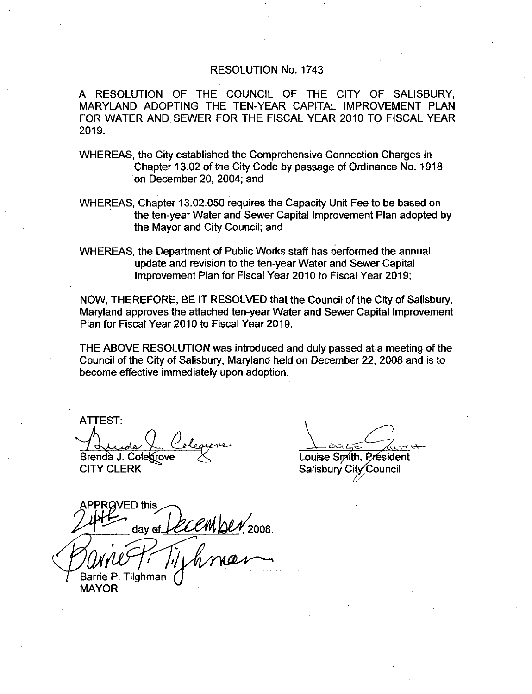#### RESOLUTION No. 1743

A RESOLUTION OF THE COUNCIL OF THE CITY OF SALISBURY A RESOLUTION OF THE COUNCIL OF THE CITY OF SALISBURY,<br>MARYLAND ADOPTING THE TEN-YEAR CAPITAL IMPROVEMENT PLAN<br>MARYLAND ALUPTING THE TEN-YEAR CAPITAL IMPROVEMENT YEAR MARYLAND ADOPTING THE TEN-YEAR CAPITAL IMPROVEMENT PLAN<br>FOR WATER AND SEWER FOR THE FISCAL YEAR 2010 TO FISCAL YEAR<br>2010 2019

WHEREAS the City established the Comprehensive Connection Charges in Chapter 13.02 of the City Code by passage of Ordinance No. 1918 on December 20, 2004; and

WHEREAS, Chapter 13.02.050 requires the Capacity Unit Fee to be based on the ten year Water and Sewer Capital Improvement Plan adopted by the Mayor and City Council; and

WHEREAS the Department of Public Works staff has performed the annual update and revision to the ten-year Water and Sewer Capital Improvement Plan for Fiscal Year 2010 to Fiscal Year 2019

NOW. THEREFORE, BE IT RESOLVED that the Council of the City of Salisbury. Maryland approves the attached ten-year Water and Sewer Capital Improvement Plan for Fiscal Year 2010 to Fiscal Year 2019

THE ABOVE RESOLUTION was introduced and duly passed at <sup>a</sup> meeting of the Council of the City of Salisbury, Maryland held on December 22, 2008 and is to become effective immediately upon adoption

ATTEST  $\overline{\mathscr{L}}$ Brendà J. Colegrove

CITY CLERK

Louise Smith, Président Salisbury City Council

/ED this day of *EECM DLV*, 2008.  $\frac{1}{2}$ Barrie P. Tilghman MAYOR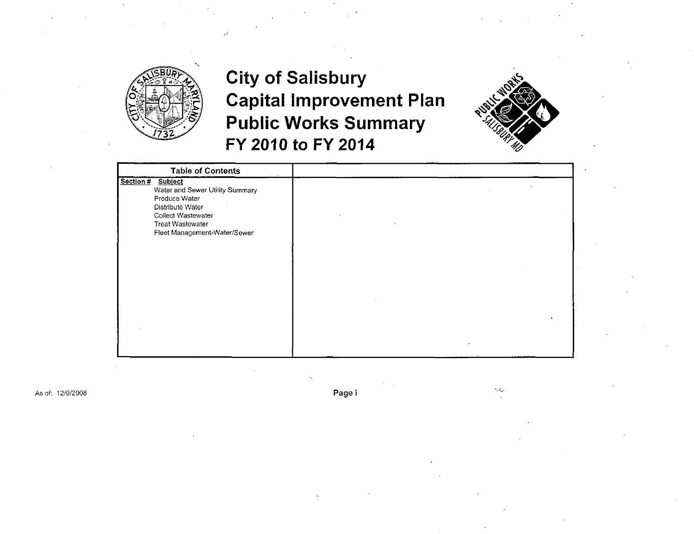

### **City of Salisbury Capital Improvement Plan Public Works Summary** FY 2010 to FY 2014



| <b>Table of Contents</b>                                                                     |  |
|----------------------------------------------------------------------------------------------|--|
| Section #<br>Subject<br>Water and Sewer Utility Summary<br>Produce Water<br>Distribute Water |  |
| Collect Wastewater                                                                           |  |
| Treat Wastewater                                                                             |  |
| Fleet Management-Water/Sewer                                                                 |  |
|                                                                                              |  |
|                                                                                              |  |
|                                                                                              |  |
|                                                                                              |  |
|                                                                                              |  |
|                                                                                              |  |
|                                                                                              |  |
|                                                                                              |  |
|                                                                                              |  |
|                                                                                              |  |
|                                                                                              |  |
|                                                                                              |  |

As of: 12/9/2008

Page i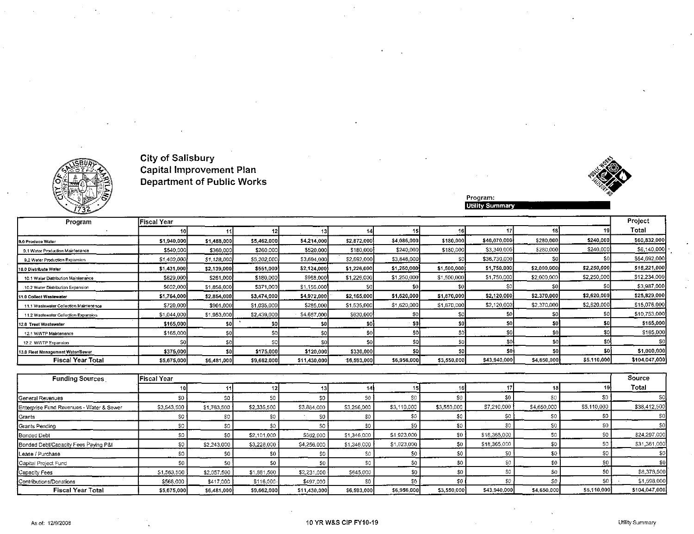





Program:<br>Utility Summary

| Program                                | Fiscal Year |             |             |              |             |             |             |              |             |             | Project       |
|----------------------------------------|-------------|-------------|-------------|--------------|-------------|-------------|-------------|--------------|-------------|-------------|---------------|
|                                        |             |             |             |              |             |             |             |              |             |             | Total         |
| 9.0 Produce Water                      | \$1,940,000 | \$1,488,000 | \$5,462,000 | \$4,214,000  | \$2,872,000 | \$4,086,000 | \$180,000   | \$40,070,000 | \$280,000   | \$240,000   | \$60,832,000  |
| 9.1 Water Production Maintenance       | \$540,000   | \$360,000   | \$260,000   | \$520,000    | \$180,000   | \$240,000   | \$180,000   | \$3,340,000  | \$280,000   | \$240,000   | \$6,140,000   |
| 9.2 Water Production Expansion         | \$1,400,000 | \$1,128,000 | \$5,202,000 | \$3,694,000  | \$2,692,000 | \$3,846,000 |             | \$36,730,000 |             |             | \$54,692,000  |
| 10.0 Distribute Water                  | \$1,431,000 | \$2,139,000 | \$551,000   | \$2,124,000  | \$1,226,000 | \$1,250,000 | \$1,500,000 | \$1,750,000  | \$2,000,000 | \$2,250,000 | \$16,221,000  |
| 10.1 Water Distribution Maintenance    | \$829,000   | \$281,000   | \$180,000   | \$968,000    | \$1,226,000 | \$1,250,000 | \$1,500,000 | \$1,750,000  | \$2,000,000 | \$2,250,000 | \$12,234,000  |
| 10.2 Water Distribution Expansion      | \$602,000   | \$1,858,000 | \$371,000   | \$1,156,000  |             |             |             |              |             |             | \$3,987,000   |
| 11.0 Collect Wastewater                | \$1,764,000 | \$2,854,000 | \$3,474,000 | \$4,972,000  | \$2,165,000 | \$1,620,000 | \$1,870,000 | \$2,120,000  | \$2,370,000 | \$2,620,000 | \$25,829,000  |
| 11.1 Wastewater Collection Maintenance | \$720,000   | \$901,000   | \$1,035,000 | \$285,000    | \$1,535,000 | \$1,620,000 | \$1,870,000 | \$2,120,000  | \$2,370,000 | \$2,620,000 | \$15,076,000  |
| 11.2 Wastewater Collection Expansion   | \$1,044,000 | \$1,953,000 | \$2,439,000 | \$4,687,000  | \$630,000   |             |             | \$0          |             | SO.         | \$10,753,000  |
| 12.0 Treat Wastewater                  | \$165,000   | SO I        | SO.         | \$DJ.        |             | SG.         |             | S٥           | 501         | \$DI        | \$165,000     |
| 12.1 WWTP Maintenance                  | \$165,000   | SO.         | S0          | \$0          |             | 50.         |             | S٥           | \$0         | \$0         | \$165,000     |
| 12.2 WWTP Expansion                    | sol         | 30          | S0          | \$O          | SOI         |             | \$0         | \$0          | \$0         | \$0         | -SOI          |
| 13.0 Fleet Management Water/Sewer      | \$375,000   | \$0         | \$175,000   | \$120,000    | \$330,000   |             |             | \$0          | sal         | \$O)        | \$1,000,000   |
| <b>Fiscal Year Total</b>               | \$5,675,000 | \$6,481,000 | \$9,662,000 | \$11,430,000 | 56,593,000  | \$6,956,000 | \$3,550,000 | \$43,940,000 | \$4,650,000 | \$5,110,000 | \$104,047,000 |

| <b>Funding Sources</b>                   | <b>Fiscal Year</b> |                  |             |              |             |             |             |              |             |             | Source         |
|------------------------------------------|--------------------|------------------|-------------|--------------|-------------|-------------|-------------|--------------|-------------|-------------|----------------|
|                                          |                    |                  |             |              |             |             |             |              |             |             | Total          |
| General Revenues                         | \$0                | S0.              | -SO         |              | S0          |             |             | \$0          | \$0         |             | S <sub>0</sub> |
| Enterprise Fund Revenues - Water & Sewer | \$3,543,500        | \$1,763,500      | \$2,335,500 | \$3,884,000  | \$3,256,000 | \$3,110,000 | \$3,550,000 | \$7,210,000  | \$4,650,000 | \$5,110,000 | \$38,412,500   |
| Grants                                   | S0.                |                  |             | S0.          | \$0         |             |             |              |             |             | \$0]           |
| Grants Pending                           | \$0                |                  |             | S0.          | \$0         |             |             |              | S0.         | S0          | \$0            |
| Bonded Debt                              | \$0                | \$0 <sub>1</sub> | \$2,101,000 | S562,000     | \$1,346,000 | \$1,923,000 | \$0         | \$18,365,000 | S0          |             | \$24,297,000   |
| Bonded Debt/Capacity Fees Paying P&I     | \$0                | \$2,243,000      | \$3,228,000 | \$4,256,000  | \$1,346,000 | \$1,923,000 |             | \$18,365,000 | SO.         |             | \$31,361,000   |
| Lease / Purchase                         | \$0                |                  |             |              | S0          |             | \$0         | S.           | \$0         | \$0         | SO1            |
| Capital Project Fund                     | \$0                |                  | S0          |              | \$0         | SC          | \$0         |              | \$0         | \$0         | -SOI           |
| Capacity Fees                            | \$1,563,500        | \$2,057,500      | \$1,881,500 | \$2,231,000  | \$645,000   |             |             |              | S0.         | SO.         | \$8,378,500    |
| Contributions/Donations                  | \$568,000          | \$417,000        | \$116,000   | \$497.000    | \$0         |             |             |              | S0.         | -SO I       | \$1,598,000    |
| <b>Fiscal Year Total</b>                 | \$5,675,000        | \$6,481,000      | \$9,662,000 | \$11,430,000 | \$6,593,000 | \$6,956,000 | \$3,550,000 | \$43,940,000 | \$4,650,000 | \$5,110,000 | \$104,047,000  |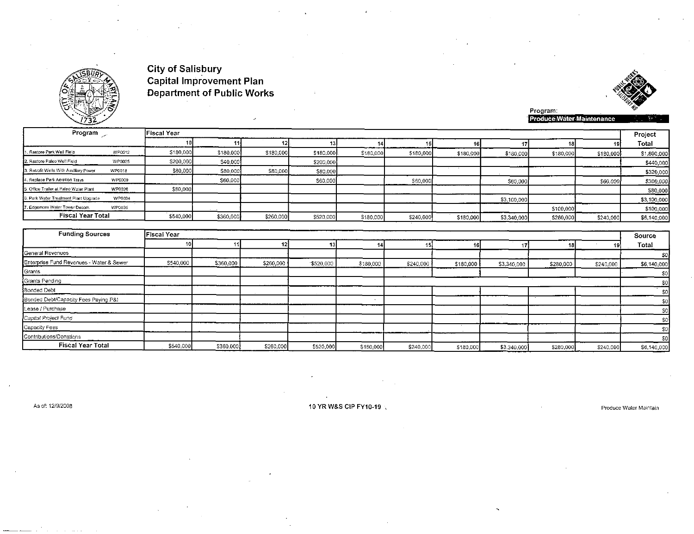



Program:<br>Produce Water Maintenance

| Program                                |               | <b>Fiscal Year</b> |           |           |           |           |           |           |             |           |           | Project    |
|----------------------------------------|---------------|--------------------|-----------|-----------|-----------|-----------|-----------|-----------|-------------|-----------|-----------|------------|
|                                        |               |                    |           |           |           |           |           |           |             |           |           | Total      |
| 1. Restore Park Well Field             | WP0012        | \$180,000          | \$180,000 | \$180,000 | \$180,000 | \$180,000 | \$180,000 | \$180,000 | \$180,000   | \$180,000 | \$180,000 | \$1,800,00 |
| 12. Restore Paleo Well Field           | <b>WP0025</b> | \$200,000          | \$40,000  |           | \$200,000 |           |           |           |             |           |           | \$440,00   |
| 3. Retrofit Wells With Auxiliary Power | WP0018        | \$80,000           | \$80,000  | \$80,000  | \$80,000  |           |           |           |             |           |           | \$320,00   |
| 4. Replace Park Aeration Trays         | WP0009        |                    | \$60,000  |           | \$60,000  |           | \$60,000  |           | \$60,000    |           | \$60,000  | \$300,00   |
| 5. Office Trailer at Paleo Water Plant | WP0026        | \$80,000           |           |           |           |           |           |           |             |           |           | \$80,00    |
| 16. Park Water Treatment Plant Upgrade | WP0034        |                    |           |           |           |           |           |           | \$3,100,000 |           |           | \$3,100,00 |
| 7. Edgemore Water Tower Decom.         | WP0035        |                    |           |           |           |           |           |           |             | \$100,000 |           | \$100,00   |
| <b>Fiscal Year Total</b>               |               | \$540,000          | \$360,000 | \$260,000 | \$520,000 | \$180,000 | \$240,000 | \$180,000 | \$3,340,000 | \$280,000 | \$240,000 | \$6,140,00 |

| <b>Funding Sources</b>                   | Fiscal Year |           |           |           |           |           |           |             |           |           | Source      |
|------------------------------------------|-------------|-----------|-----------|-----------|-----------|-----------|-----------|-------------|-----------|-----------|-------------|
|                                          |             |           | 121       |           |           |           |           |             |           | I Y       | Total       |
| General Revenues                         |             |           |           |           |           |           |           |             |           |           | -50         |
| Enterprise Fund Revenues - Water & Sewer | \$540,000   | \$360,000 | \$260,000 | \$520,000 | \$180,000 | \$240,000 | \$180,000 | \$3,340,000 | \$280,000 | \$240,000 | \$6,140,000 |
| Grants                                   |             |           |           |           |           |           |           |             |           |           | \$0         |
| Grants Pending                           |             |           |           |           |           |           |           |             |           |           |             |
| Bonded Debt                              |             |           |           |           |           |           |           |             |           |           | \$0         |
| Bonded Debt/Capacity Fees Paying P&I     |             |           |           |           |           |           |           |             |           |           | \$0         |
| Lease / Purchase                         |             |           |           |           |           |           |           |             |           |           |             |
| Capital Project Fund                     |             |           |           |           |           |           |           |             |           |           |             |
| Capacity Fees                            |             |           |           |           |           |           |           |             |           |           | \$0         |
| Contributions/Donations                  |             |           |           |           |           |           |           |             |           |           | \$0         |
| <b>Fiscal Year Total</b>                 | \$540,000   | \$360,000 | \$260,000 | \$520,000 | \$180,000 | \$240,000 | \$180,000 | \$3,340,000 | \$280,000 | \$240.000 | \$6,140,000 |

As of: 12/9/2008

10 YR W&S CIP FY10-19 %

Produce Water Maintain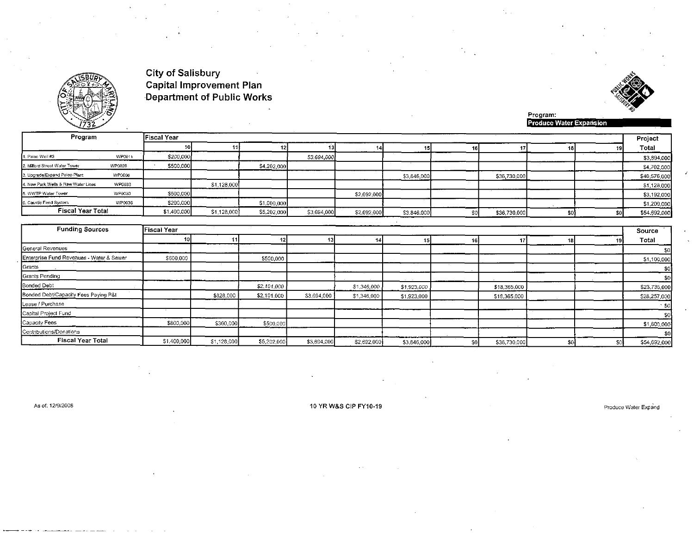



Program:<br>Produce Water Expansion

| Program                             |        | <b>Fiscal Year</b> |             |             |             |             |             |              |                 | Project      |
|-------------------------------------|--------|--------------------|-------------|-------------|-------------|-------------|-------------|--------------|-----------------|--------------|
|                                     |        |                    |             |             |             |             |             |              | 19.             | Total        |
| 1. Paleo Well #3                    | WP0011 | \$200,000          |             |             | 53,694,000  |             |             |              |                 | \$3,894,000  |
| 2. Milford Street Water Tower       | WP0028 | \$500,000          |             | \$4,202,000 |             |             |             |              |                 | \$4,702,000  |
| 3. Upgrade/Expand Paleo Plant       | WP0008 |                    |             |             |             |             | \$3,846,000 | \$36,730,000 |                 | \$40,576,000 |
| 4. New Park Wells & Raw Water Lines | WP0033 |                    | \$1,128,000 |             |             |             |             |              |                 | \$1,128,000  |
| 5. WWTP Water Tower                 | WP0030 | \$500,000          |             |             |             | \$2,692,000 |             |              |                 | \$3,192,000  |
| 6. Caustic Feed System              | WP0036 | \$200,000          |             | \$1,000,000 |             |             |             |              |                 | \$1,200,000  |
| <b>Fiscal Year Total</b>            |        | \$1,400,000        | \$1,128,000 | \$5,202,000 | \$3,694,000 | \$2,692,000 | \$3,846,000 | \$36,730,000 | 50 <sub>1</sub> | \$54,692,000 |

| <b>Funding Sources</b>                   | Fiscal Year |             |             |             |             |             |     |              |     | Source       |
|------------------------------------------|-------------|-------------|-------------|-------------|-------------|-------------|-----|--------------|-----|--------------|
|                                          |             |             | 12          |             |             |             |     |              |     | Total        |
| General Revenues                         |             |             |             |             |             |             |     |              |     | \$01         |
| Enterprise Fund Revenues - Water & Sewer | \$600,000   |             | \$500,000   |             |             |             |     |              |     | \$1,100,000  |
| Grants                                   |             |             |             |             |             |             |     |              |     | \$0          |
| Grants Pending                           |             |             |             |             |             |             |     |              |     | \$0          |
| Bonded Debt                              |             |             | \$2,101,000 |             | \$1,346,000 | \$1,923,000 |     | \$18,365,000 |     | \$23,735,000 |
| Bonded Debt/Capacity Fees Paying P&I     |             | \$828,000   | \$2,101,000 | \$3,694,000 | \$1,346,000 | \$1,923,000 |     | \$18,365,000 |     | \$28,257,000 |
| Lease / Purchase                         |             |             |             |             |             |             |     |              |     | $\cdot$ sol  |
| Capital Project Fund                     |             |             |             |             |             |             |     |              |     | \$0          |
| Capacity Fees                            | \$800,000   | \$300,000   | \$500,000   |             |             |             |     |              |     | \$1,600,000  |
| Contributions/Donations                  |             |             |             |             |             |             |     |              |     | \$0          |
| <b>Fiscal Year Total</b>                 | \$1,400,000 | \$1,128,000 | \$5,202,000 | \$3,694,000 | \$2,692,000 | \$3,846,000 | \$0 | \$36,730.000 | \$0 | \$54,692,000 |

As of: 12/9/2008

10 YR W&S CIP FY10-19

Produce Water Expand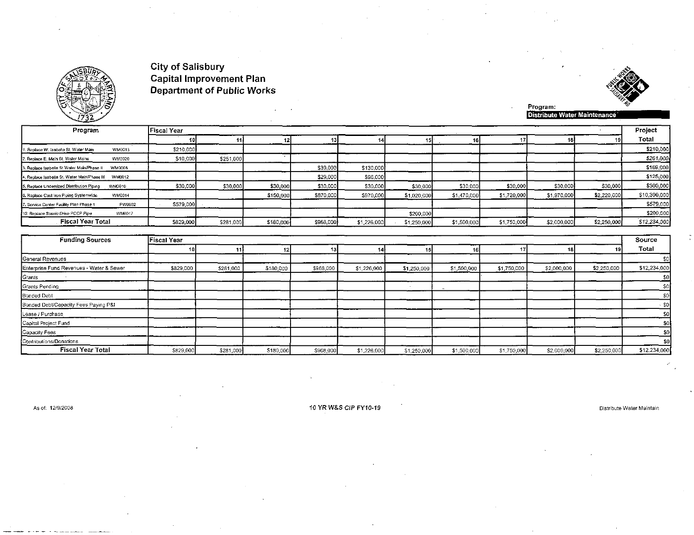



Program:<br>Distribute Water Maintenance

| Program                                                | Fiscal Year |           |           |           |             |             |             |             |             |             | Project      |
|--------------------------------------------------------|-------------|-----------|-----------|-----------|-------------|-------------|-------------|-------------|-------------|-------------|--------------|
|                                                        |             |           |           |           |             |             |             |             |             |             | Total        |
| WM0013<br>1. Replace W. Isabella St. Water Main        | \$210,000   |           |           |           |             |             |             |             |             |             | \$210,000    |
| 2. Replace E. Main St. Water Mains<br>WM0020           | \$10,000    | \$251,000 |           |           |             |             |             |             |             |             | \$261,000    |
| 3. Replace Isabella St Water Main/Phase II<br>WM0008   |             |           |           | \$39,000  | \$130,000   |             |             |             |             |             | \$169,000    |
| 4. Replace Isabella St. Water Main/Phase III<br>WM0012 |             |           |           | \$29,000  | \$96,000    |             |             |             |             |             | \$125,000    |
| 5. Replace Undersized Distribution Piping<br>WM0010    | \$30,000    | \$30,000  | \$30,000  | \$30,000  | \$30,000    | \$30,000    | \$30,000    | \$30,000    | \$30,000    | \$30,000    | \$300,000    |
| 6. Replace Cast Iron Piping Systemwide<br>WM0014       |             |           | \$150,000 | \$870,000 | \$970,000   | \$1.020.000 | \$1,470,000 | \$1,720,000 | \$1,970,000 | \$2,220,000 | \$10,390,000 |
| PW0002<br>7. Service Center Facility Plan Phase 1      | \$579,000   |           |           |           |             |             |             |             |             |             | \$579,000    |
| 10. Replace Scenic Drive PCCP Pipe<br>WM0017           |             |           |           |           |             | \$200,000   |             |             |             |             | \$200,000    |
| Fiscal Year Total                                      | \$829,000   | \$281,000 | \$180,000 | \$968,000 | \$1,226,000 | \$1,250,000 | \$1,500,000 | \$1,750,000 | \$2,000,000 | \$2,250,000 | \$12,234,000 |

| <b>Funding Sources</b>                   | <b>Fiscal Year</b> |           |           |           |             |             |             |             |             |             | Source       |
|------------------------------------------|--------------------|-----------|-----------|-----------|-------------|-------------|-------------|-------------|-------------|-------------|--------------|
|                                          |                    |           |           |           |             | 15          | 16          |             |             | 191         | Total        |
| General Revenues                         |                    |           |           |           |             |             |             |             |             |             |              |
| Enterprise Fund Revenues - Water & Sewer | \$829,000          | \$281,000 | \$180,000 | \$968,000 | \$1,226,000 | \$1,250,000 | \$1,500,000 | \$1,750,000 | \$2,000,000 | \$2,250,000 | \$12,234,000 |
| Grants                                   |                    |           |           |           |             |             |             |             |             |             |              |
| Grants Pending                           |                    |           |           |           |             |             |             |             |             |             |              |
| Bonded Debt                              |                    |           |           |           |             |             |             |             |             |             | \$0          |
| Bonded Debt/Capacity Fees Paying P&I     |                    |           |           |           |             |             |             |             |             |             | -\$0         |
| Lease / Purchase                         |                    |           |           |           |             |             |             |             |             |             | \$0          |
| Capital Project Fund                     |                    |           |           |           |             |             |             |             |             |             |              |
| Capacity Fees                            |                    |           |           |           |             |             |             |             |             |             |              |
| Contributions/Donations                  |                    |           |           |           |             |             |             |             |             |             | \$0          |
| <b>Fiscal Year Total</b>                 | \$829,000          | \$281,000 | \$180,000 | \$968,000 | \$1,226,000 | \$1,250,000 | \$1,500,000 | \$1,750,000 | \$2,000,000 | \$2,250,000 | \$12,234,000 |

As of: 12/9/2008

10 YR W&S CIP FY10-19

Distribute Water Maintain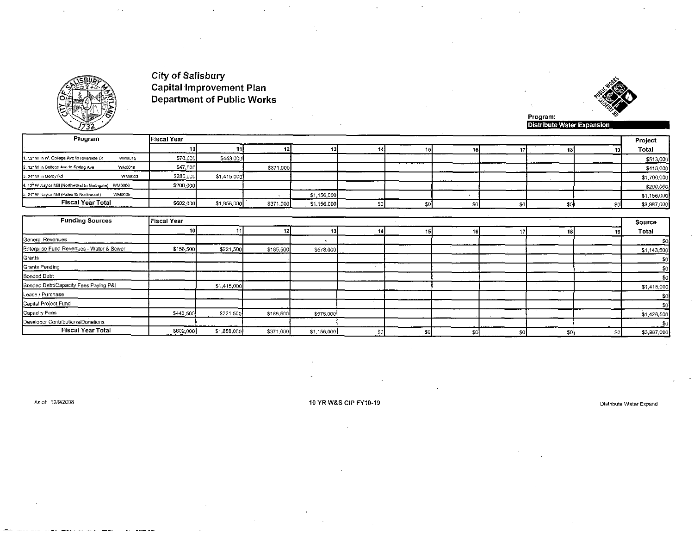



| Program                                              | <b>Fiscal Year</b> |             |           |             |  |    |    |  | Project     |
|------------------------------------------------------|--------------------|-------------|-----------|-------------|--|----|----|--|-------------|
|                                                      |                    |             |           |             |  |    |    |  | Total       |
| 1. 12" W in W. College Ave to Riverside Dr<br>WM0015 | \$70,000           | \$443,000   |           |             |  |    |    |  | \$513,000   |
| WM0016<br>2, 12" W in College Ave to Spring Ave      | \$47,000           |             | \$371,000 |             |  |    |    |  | \$418,000   |
| WM0003<br>3, 24" W in Gordy Rd                       | \$285,000          | \$1,415,000 |           |             |  |    |    |  | \$1,700,000 |
| 4. 12" W Naylor Mill (Northwood to Northgate) WM0006 | \$200,000          |             |           |             |  |    |    |  | \$200,000   |
| 5. 24" W Naylor Mill (Paleo to Northwood)<br>WM0005  |                    |             |           | \$1,156,000 |  |    |    |  | \$1,156,000 |
| <b>Fiscal Year Total</b>                             | \$602,000          | \$1,858,000 | \$371,000 | \$1,156,000 |  | e. | ¢۵ |  | \$3,987,000 |

| <b>Funding Sources</b>                   | <b>Fiscal Year</b> |             |           |             |     |     |    |      | Source      |
|------------------------------------------|--------------------|-------------|-----------|-------------|-----|-----|----|------|-------------|
|                                          | 10                 |             |           |             |     |     |    |      | Total       |
| General Revenues                         |                    |             |           |             |     |     |    |      |             |
| Enterprise Fund Revenues - Water & Sewer | \$158,500          | \$221,500   | \$185,500 | \$578,000   |     |     |    |      | \$1,143,500 |
| Grants                                   |                    |             |           |             |     |     |    |      | -501        |
| Grants Pending                           |                    |             |           |             |     |     |    |      | 50          |
| Bonded Debt                              |                    |             |           |             |     |     |    |      | SO.         |
| Bonded Debt/Capacity Fees Paying P&I     |                    | \$1,415,000 |           |             |     |     |    |      | \$1,415,000 |
| Lease / Purchase                         |                    |             |           |             |     |     |    |      | 30l         |
| Capital Project Fund                     |                    |             |           |             |     |     |    |      |             |
| Capacity Fees                            | \$443,500          | \$221,500   | \$185,500 | \$578,000   |     |     |    |      | \$1,428,500 |
| Developer Contributions/Donations        |                    |             |           |             |     |     |    |      | -\$0        |
| <b>Fiscal Year Total</b>                 | \$602,000          | \$1,858,000 | \$371,000 | \$1,156,000 | \$0 | \$0 | аv | -SOI | \$3,987,000 |

As of: 12/9/2008

#### 10 YR W&S CIP FY10-19

Distribute Water Expand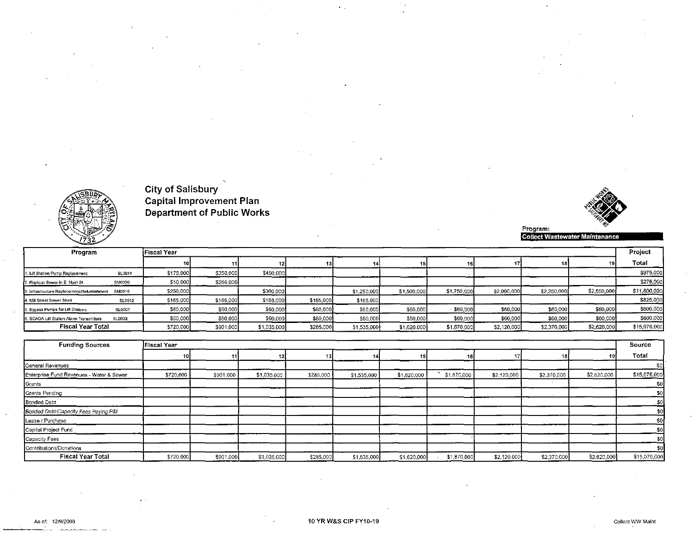



Program:<br>Collect Wastewater Maintenance

| Program                                     |        | lFiscal Year |           |             |           |             |             |             |             |             |             | Project      |
|---------------------------------------------|--------|--------------|-----------|-------------|-----------|-------------|-------------|-------------|-------------|-------------|-------------|--------------|
|                                             |        |              |           |             |           |             |             |             |             |             |             | Total        |
| f, Lift Station Pump Replacement            | SL0014 | \$175,000    | \$350,000 | \$450,000   |           |             |             |             |             |             |             | \$975,000    |
| 2. Replace Sewer in E. Main St.             | SM0020 | \$10,000     | \$266,000 |             |           |             |             |             |             |             |             | \$276,000    |
| 3. Infrastructure Replacement/Refurbishment | SM0019 | \$250,000    |           | \$300,000   |           | \$1,250,000 | \$1,500,000 | \$1,750,000 | \$2,000,000 | \$2,250,000 | \$2,500,000 | \$11,800,000 |
| 4. Mill Street Sewer Shed                   | SL0012 | \$165,000    | \$165,000 | \$165,000   | \$165,000 | \$165,000   |             |             |             |             |             | \$825,000    |
| 5. Bypass Pumps for Lift Stations           | SL0007 | \$60,000     | \$60,000  | \$60,000    | \$60,000  | \$60,000    | \$60,000    | \$60,000    | \$60,000    | \$60,000    | \$60,000    | \$600,000    |
| 6. SCADA Lift Station Alarm Transmitters    | SL0003 | \$60,000     | \$60,000  | \$60,000    | \$60,000  | \$60,000    | \$60,000    | \$60,000    | \$60,000    | \$60,000    | \$60,000    | \$600,000    |
| <b>Fiscal Year Total</b>                    |        | \$720,000    | \$901,000 | \$1,035,000 | \$285,000 | \$1,535,000 | \$1,620,000 | \$1,870,000 | \$2,120,000 | \$2,370,000 | \$2,620,000 | \$15,076,000 |

| <b>Funding Sources</b>                   | <b>Fiscal Year</b> |           |             |           |             |             |             |             |             |             | Source          |
|------------------------------------------|--------------------|-----------|-------------|-----------|-------------|-------------|-------------|-------------|-------------|-------------|-----------------|
|                                          |                    |           |             |           |             |             | - 16        |             |             |             | Total           |
| General Revenues                         |                    |           |             |           |             |             |             |             |             |             | \$0             |
| Enterprise Fund Revenues - Water & Sewer | \$720,000          | \$901,000 | \$1,035,000 | \$285,000 | \$1,535,000 | \$1,620,000 | \$1,870,000 | \$2,120,000 | \$2,370,000 | \$2,620,000 | \$15,076,000    |
| Grants                                   |                    |           |             |           |             |             |             |             |             |             | SO <sub>1</sub> |
| Grants Pending                           |                    |           |             |           |             |             |             |             |             |             | \$0             |
| Bonded Debt                              |                    |           |             |           |             |             |             |             |             |             |                 |
| Bonded Debt/Capacity Fees Paying P&I     |                    |           |             |           |             |             |             |             |             |             | \$0.            |
| Lease / Purchase                         |                    |           |             |           |             |             |             |             |             |             | SO <sup>T</sup> |
| Capital Project Fund                     |                    |           |             |           |             |             |             |             |             |             | \$0             |
| Capacity Fees                            |                    |           |             |           |             |             |             |             |             |             | \$0             |
| Contributions/Donations                  |                    |           |             |           |             |             |             |             |             |             | \$0             |
| <b>Fiscal Year Total</b>                 | \$720,000          | \$901,000 | \$1,035,000 | \$285,000 | \$1,535,000 | \$1,620,000 | \$1,870,000 | \$2,120,000 | \$2,370,000 | \$2,620,000 | \$15,076,000    |

Collect WW Maint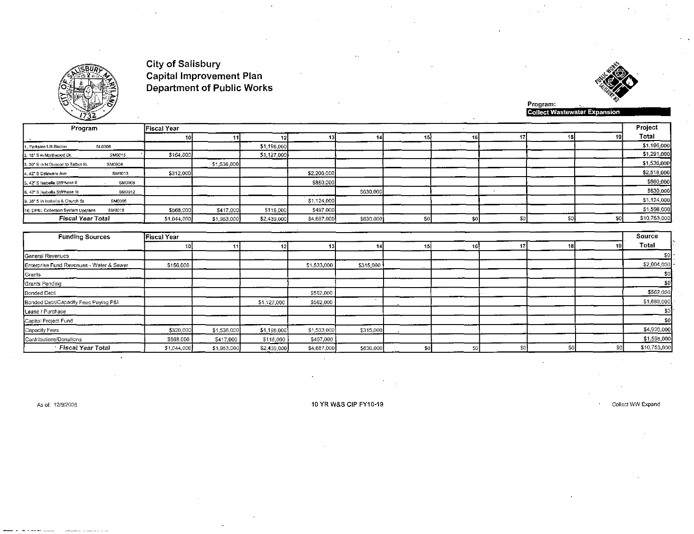

%<br>Collect Wastewater Expansion

|                                    | Program                  | lFiscal Year |             |             |             |           |    |  |  |  |  |              |  |
|------------------------------------|--------------------------|--------------|-------------|-------------|-------------|-----------|----|--|--|--|--|--------------|--|
|                                    |                          |              |             | 12.         |             |           | 15 |  |  |  |  | Total        |  |
| 1. Parkside Lift Station           | <b>SL0008</b>            |              |             | \$1,196,000 |             |           |    |  |  |  |  | \$1,196,000  |  |
| 2. 18" S in Northwood Dr.          | SM0015                   | \$164,000    |             | \$1,127,000 |             |           |    |  |  |  |  | \$1,291,000  |  |
| 3.30 S in N.Division to Talbot St. | SM0004                   |              | \$1,536,000 |             |             |           |    |  |  |  |  | \$1,536,000  |  |
| 4.42* S Delaware Ave               | SM0013                   | \$312,000    |             |             | \$2,206,000 |           |    |  |  |  |  | \$2,518,000  |  |
| 5, 42" S Isabella St/Phase II      | <b>SM0008</b>            |              |             |             | \$860,000   |           |    |  |  |  |  | \$860,000    |  |
| 6, 42" S Isabella St/Phase III     | SM0012                   |              |             |             |             | \$630,000 |    |  |  |  |  | \$630,000    |  |
| 9.36" S in Isabella & Church St.   | SM0005                   |              |             |             | \$1,124,000 |           |    |  |  |  |  | \$1,124,000  |  |
| 10. DP&L Collection System Upgrade | SM0018                   | \$568,000    | \$417,000   | \$116,000   | \$497,000   |           |    |  |  |  |  | \$1,598,000  |  |
|                                    | <b>Fiscal Year Total</b> | \$1,044,000  | \$1,953,000 | \$2,439,000 | \$4,687,000 | \$630,000 |    |  |  |  |  | \$10,753,000 |  |

| <b>Funding Sources</b>                   | Fiscal Year |             |             |             |           |     |     |  |  |    |              |  |
|------------------------------------------|-------------|-------------|-------------|-------------|-----------|-----|-----|--|--|----|--------------|--|
|                                          |             |             |             |             |           | 15. | 161 |  |  |    | Total        |  |
| General Revenues                         |             |             |             |             |           |     |     |  |  |    |              |  |
| Enterprise Fund Revenues - Water & Sewer | \$156,000   |             |             | \$1,533,000 | \$315,000 |     |     |  |  |    | \$2,004,000  |  |
| Grants                                   |             |             |             |             |           |     |     |  |  |    | 50.          |  |
| Grants Pending                           |             |             |             |             |           |     |     |  |  |    | \$0          |  |
| Bonded Debt                              |             |             |             | \$562,000   |           |     |     |  |  |    | \$562,000    |  |
| Bonded Debt/Capacity Fees Paying P&I     |             |             | \$1,127,000 | \$562,000   |           |     |     |  |  |    | \$1,689,000  |  |
| Lease / Purchase                         |             |             |             |             |           |     |     |  |  |    | \$0          |  |
| Capital Project Fund                     |             |             |             |             |           |     |     |  |  |    | \$0          |  |
| Capacity Fees                            | \$320,000   | \$1,536,000 | \$1,196,000 | \$1,533,000 | \$315,000 |     |     |  |  |    | \$4,900,000  |  |
| Contributions/Donations                  | \$568,000   | \$417,000   | \$116,000   | \$497,000   |           |     |     |  |  |    | \$1,598,000  |  |
| Fiscal Year Total                        | \$1,044,000 | \$1,953,000 | \$2,439,000 | \$4,687,000 | \$630,000 | \$0 | \$0 |  |  | S0 | \$10,753,000 |  |

As of: 12/9/2008

 $\ddot{\phantom{0}}$ 

10 YR W&S CIP FY10-19

Collect WW Expand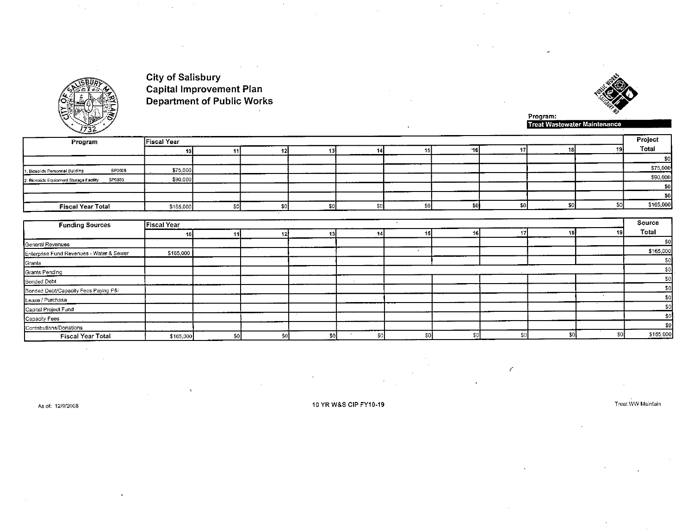



Program:<br>Treat Wastewater Maintenance

 $\epsilon$ 

| Program                                           | <b>Fiscal Year</b> |     |     |     |  |     |     |    |  |  |           |  |  |  |
|---------------------------------------------------|--------------------|-----|-----|-----|--|-----|-----|----|--|--|-----------|--|--|--|
|                                                   | 10I                |     | 12I | 131 |  | 15  | ำ6∐ | 17 |  |  | Total     |  |  |  |
|                                                   |                    |     |     |     |  |     |     |    |  |  | \$0       |  |  |  |
| SP0008<br>1. Biosolids Personnel Building         | \$75,000           |     |     |     |  |     |     |    |  |  | \$75,000  |  |  |  |
| SP0033<br>2. Biosolids Equipment Storage Facility | \$90,000           |     |     |     |  |     |     |    |  |  | \$90,000  |  |  |  |
|                                                   |                    |     |     |     |  |     |     |    |  |  | \$0       |  |  |  |
|                                                   |                    |     |     |     |  |     |     |    |  |  | -\$0      |  |  |  |
| <b>Fiscal Year Total</b>                          | \$165,000          | \$0 |     | enl |  | \$0 |     | ድር |  |  | \$165,000 |  |  |  |

| <b>Funding Sources</b>                   | <b>Fiscal Year</b> |    |     |     |     |     |    |     | Source    |
|------------------------------------------|--------------------|----|-----|-----|-----|-----|----|-----|-----------|
|                                          |                    |    |     |     |     |     |    |     | Total     |
| General Revenues                         |                    |    |     |     |     |     |    |     | \$0       |
| Enterprise Fund Revenues - Water & Sewer | \$165,000          |    |     |     |     |     |    |     | \$165,000 |
| Grants                                   |                    |    |     |     |     |     |    |     | \$0       |
| Grants Pending                           |                    |    |     |     |     |     |    |     | \$0.1     |
| <b>Bonded Debt</b>                       |                    |    |     |     |     |     |    |     | \$0       |
| Bonded Debt/Capacity Fees Paying P&I     |                    |    |     |     |     |     |    |     | \$0       |
| Lease / Purchase                         |                    |    |     |     |     |     |    |     | \$0       |
| Capital Project Fund                     |                    |    |     |     |     |     |    |     | -sol      |
| Capacity Fees                            |                    |    |     |     |     |     |    |     | \$0]      |
| Contributions/Donations                  |                    |    |     |     |     |     |    |     | -sol      |
| <b>Fiscal Year Total</b>                 | \$165,000          | 50 | \$0 | \$0 | \$0 | \$0 | S٤ | \$0 | \$165,000 |

As of: 12/9/2008

10 YR W&S CIP FY10-19

Treat WW Maintain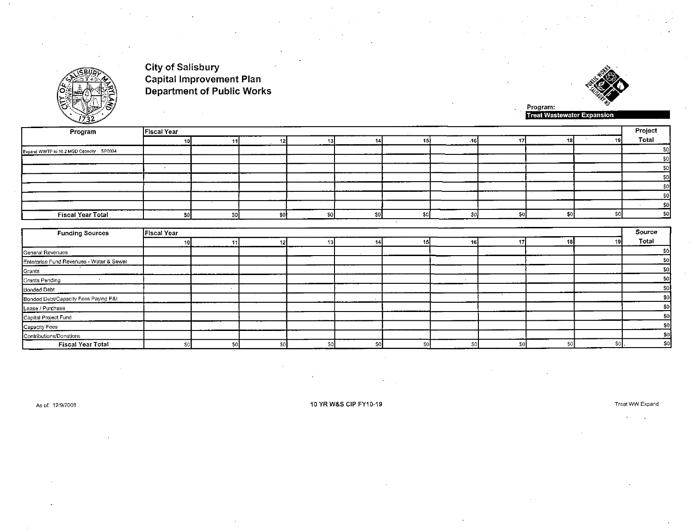

Program:<br>Treat Wastewater Expansion

| Program                                 | <b>Fiscal Year</b> |  |      |      |  |    | Project |
|-----------------------------------------|--------------------|--|------|------|--|----|---------|
|                                         |                    |  |      |      |  | 18 | Total   |
| Expand WWTP to 10.2 MGD Capacity SP0034 |                    |  |      |      |  |    |         |
|                                         |                    |  |      |      |  |    |         |
|                                         |                    |  |      |      |  |    |         |
|                                         |                    |  |      |      |  |    |         |
|                                         |                    |  |      |      |  |    |         |
|                                         |                    |  |      |      |  |    |         |
|                                         |                    |  |      |      |  |    |         |
| Fiscal Year Total                       |                    |  | -sol | - 40 |  |    |         |
|                                         |                    |  |      |      |  |    |         |

| Fiscal Year<br><b>Funding Sources</b>    |  |  |     |      |    |     |    |     |  | Source |       |
|------------------------------------------|--|--|-----|------|----|-----|----|-----|--|--------|-------|
|                                          |  |  |     |      |    |     | 16 |     |  | 19     | Total |
| General Revenues                         |  |  |     |      |    |     |    |     |  |        | \$0.  |
| Enterprise Fund Revenues - Water & Sewer |  |  |     |      |    |     |    |     |  |        | \$0   |
| Grants                                   |  |  |     |      |    |     |    |     |  |        | \$0   |
| Grants Pending                           |  |  |     |      |    |     |    |     |  |        | \$0   |
| <b>Bonded Debt</b>                       |  |  |     |      |    |     |    |     |  |        | \$0   |
| Bonded Debt/Capacity Fees Paying P&I     |  |  |     |      |    |     |    |     |  |        | \$0.  |
| Lease / Purchase                         |  |  |     |      |    |     |    |     |  |        | \$01  |
| Capital Project Fund                     |  |  |     |      |    |     |    |     |  |        | \$0   |
| Capacity Fees                            |  |  |     |      |    |     |    |     |  |        | \$0   |
| Contributions/Donations                  |  |  |     |      |    |     |    |     |  |        | \$0   |
| <b>Fiscal Year Total</b>                 |  |  | \$0 | \$01 | Ŝ. | \$0 | S0 | \$0 |  | -50)   | -50   |

As of: 12/9/2008

10 YR W&S CIP FY10-19

Treat WW Expand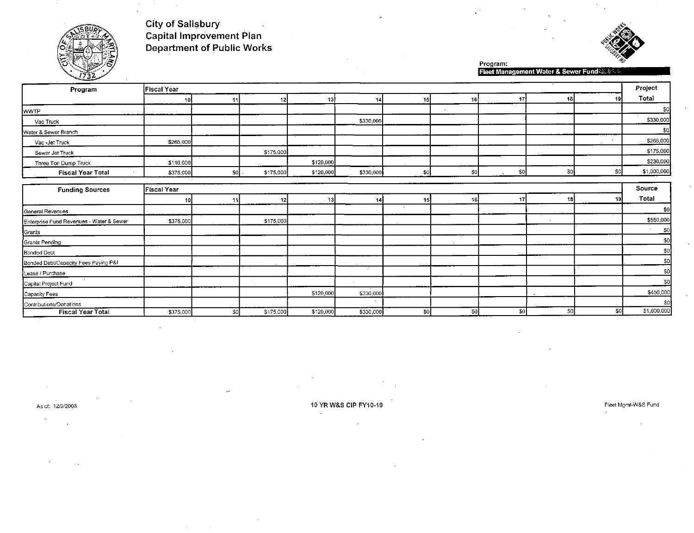



Program:<br>Fleet Management Water & Sewer Fund

| - 11                                     |                    |           |           |           |           |                 |     |                  |        |     |                |  |  |
|------------------------------------------|--------------------|-----------|-----------|-----------|-----------|-----------------|-----|------------------|--------|-----|----------------|--|--|
| Program                                  | Fiscal Year        |           |           |           |           |                 |     |                  |        |     | Project        |  |  |
|                                          | 10.                | -11       | 12        | -13)      | 14        | 15              | 16  | 17               | 18     | 19  | Total          |  |  |
| WWTP                                     |                    |           |           |           |           |                 |     |                  |        |     | \$0            |  |  |
| Vac Truck                                |                    |           |           |           | \$330,000 |                 |     |                  |        |     | \$330,000      |  |  |
| Water & Sewer Branch                     |                    |           |           |           |           |                 |     |                  |        |     | \$0            |  |  |
| Vac - Jet Truck                          | \$265,000          |           |           |           |           |                 |     |                  |        |     | \$265,000      |  |  |
| Sewer Jet Truck                          |                    |           | \$175,000 |           |           |                 |     |                  |        |     | \$175,000      |  |  |
| Three Ton Dump Truck                     | \$110,000          |           |           | \$120,000 |           |                 |     |                  |        |     | \$230,000      |  |  |
| <b>Fiscal Year Total</b>                 | \$375,000          | -sol      | \$175,000 | \$120,000 | \$330,000 | \$0             | \$0 | SO <br>$\lambda$ | ∴ \$oj | \$0 | \$1,000,000    |  |  |
|                                          |                    |           |           |           |           |                 |     |                  |        |     |                |  |  |
| <b>Funding Sources</b>                   | <b>Fiscal Year</b> |           |           |           |           |                 |     |                  |        |     |                |  |  |
|                                          | 10                 | 11        | 12        | 13        | 14        | 15 <sub>1</sub> | 16  | 17               | 18     | 19  | Total          |  |  |
| General Revenues                         |                    |           |           |           |           |                 |     |                  |        |     | \$0            |  |  |
| Enterprise Fund Revenues - Water & Sewer | \$375,000          |           | \$175,000 |           |           |                 |     |                  |        |     | \$550,000      |  |  |
| Grants                                   |                    |           |           |           |           |                 |     |                  |        |     | S <sub>0</sub> |  |  |
| Grants Pending                           |                    |           |           |           |           |                 |     |                  |        |     | \$0            |  |  |
| <b>Bonded Debt</b>                       |                    |           |           |           |           |                 |     |                  |        |     | 30             |  |  |
| Bonded Debt/Capacity Fees Paying P&I     |                    |           |           |           |           |                 |     |                  |        |     | \$0            |  |  |
| Lease / Purchase                         |                    |           |           |           |           |                 |     |                  |        |     | \$0            |  |  |
| Capital Project Fund                     |                    |           |           |           |           |                 |     |                  |        |     | \$0            |  |  |
| Capacity Fees                            |                    |           |           | \$120,000 | \$330,000 |                 |     |                  |        |     | \$450,000      |  |  |
| Contributions/Donations                  |                    |           |           |           |           |                 |     |                  |        |     | \$0            |  |  |
| <b>Fiscal Year Total</b>                 | \$375,000          | <b>SO</b> | \$175,000 | \$120,000 | \$330,000 | 30              | sol | \$0              | \$0    | \$0 | \$1,000,000    |  |  |

As of: 12/9/2008

10 YR W&S CIP FY10-19

 $\overline{a}$ 

Fleet Mgmt-W&S Fund